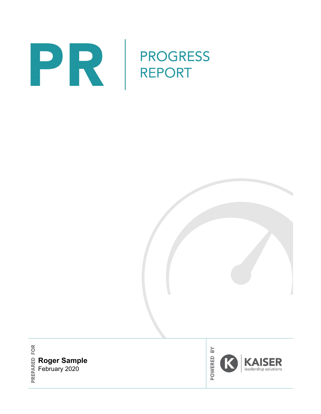

**Roger Sample** February 2020

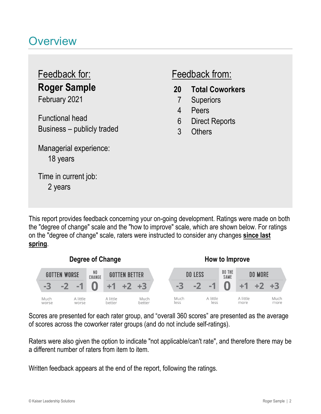# **Overview**

# **Roger Sample** Feedback for: Feedback from:

February 2021

Functional head Business – publicly traded

18 years Managerial experience:

2 years Time in current job:

- **20 Total Coworkers**
	- 7 Superiors
	- 4 Peers
	- 6 Direct Reports
	- 3 Others

This report provides feedback concerning your on-going development. Ratings were made on both the "degree of change" scale and the "how to improve" scale, which are shown below. For ratings on the "degree of change" scale, raters were instructed to consider any changes **since last spring**.



Scores are presented for each rater group, and "overall 360 scores" are presented as the average of scores across the coworker rater groups (and do not include self-ratings).

Raters were also given the option to indicate "not applicable/can't rate", and therefore there may be a different number of raters from item to item.

Written feedback appears at the end of the report, following the ratings.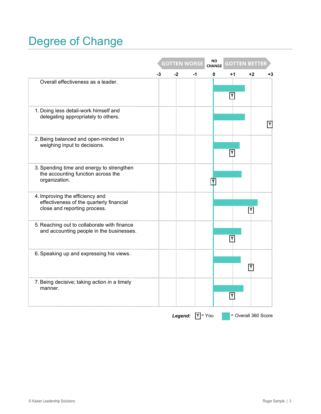# Degree of Change

|                                                                                                             |    |      | <b>GOTTEN WORSE</b> | <b>NO</b><br><b>CHANGE</b> | <b>GOTTEN BETTER</b> |                     |              |
|-------------------------------------------------------------------------------------------------------------|----|------|---------------------|----------------------------|----------------------|---------------------|--------------|
|                                                                                                             | -3 | $-2$ | -1                  | 0                          | $+1$                 | $+2$                | $+3$         |
| Overall effectiveness as a leader.                                                                          |    |      |                     |                            | Y                    |                     |              |
| 1. Doing less detail-work himself and<br>delegating appropriately to others.                                |    |      |                     |                            |                      |                     | $\mathsf{Y}$ |
| 2. Being balanced and open-minded in<br>weighing input to decisions.                                        |    |      |                     |                            | Y                    |                     |              |
| 3. Spending time and energy to strengthen<br>the accounting function across the<br>organization.            |    |      |                     |                            |                      |                     |              |
| 4. Improving the efficiency and<br>effectiveness of the quarterly financial<br>close and reporting process. |    |      |                     |                            |                      |                     |              |
| 5. Reaching out to collaborate with finance<br>and accounting people in the businesses.                     |    |      |                     |                            | Y                    |                     |              |
| 6. Speaking up and expressing his views.                                                                    |    |      |                     |                            |                      | Υ                   |              |
| 7. Being decisive; taking action in a timely<br>manner.                                                     |    |      |                     |                            | I۲                   |                     |              |
|                                                                                                             |    |      | Legend: $Y = You$   |                            |                      | = Overall 360 Score |              |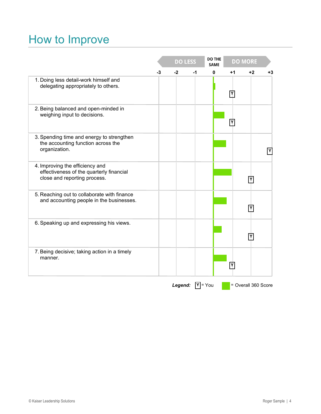# How to Improve

|                                                                                                             |    |      | <b>DO LESS</b>           | <b>DO THE</b><br><b>SAME</b> |      | <b>DO MORE</b>      |      |
|-------------------------------------------------------------------------------------------------------------|----|------|--------------------------|------------------------------|------|---------------------|------|
|                                                                                                             | -3 | $-2$ | -1                       | 0                            | $+1$ | $+2$                | $+3$ |
| 1. Doing less detail-work himself and<br>delegating appropriately to others.                                |    |      |                          |                              | Y    |                     |      |
| 2. Being balanced and open-minded in<br>weighing input to decisions.                                        |    |      |                          |                              | Υ    |                     |      |
| 3. Spending time and energy to strengthen<br>the accounting function across the<br>organization.            |    |      |                          |                              |      |                     |      |
| 4. Improving the efficiency and<br>effectiveness of the quarterly financial<br>close and reporting process. |    |      |                          |                              |      | Υ                   |      |
| 5. Reaching out to collaborate with finance<br>and accounting people in the businesses.                     |    |      |                          |                              |      |                     |      |
| 6. Speaking up and expressing his views.                                                                    |    |      |                          |                              |      | Y                   |      |
| 7. Being decisive; taking action in a timely<br>manner.                                                     |    |      |                          |                              | Υ    |                     |      |
|                                                                                                             |    |      | <b>Legend:</b> $Y = You$ |                              |      | = Overall 360 Score |      |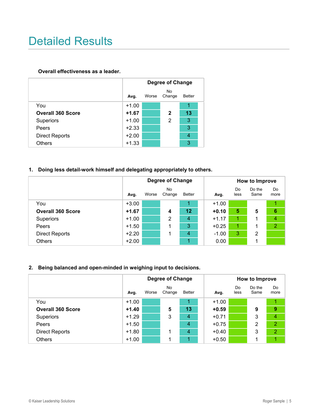# Detailed Results

#### **Overall effectiveness as a leader.**

|                          | Degree of Change |       |              |               |  |  |  |  |
|--------------------------|------------------|-------|--------------|---------------|--|--|--|--|
|                          | Avg.             | Worse | No<br>Change | <b>Better</b> |  |  |  |  |
| You                      | $+1.00$          |       |              | 1             |  |  |  |  |
| <b>Overall 360 Score</b> | $+1.67$          |       | 2            | 13            |  |  |  |  |
| <b>Superiors</b>         | $+1.00$          |       | 2            | 3             |  |  |  |  |
| Peers                    | $+2.33$          |       |              | 3             |  |  |  |  |
| <b>Direct Reports</b>    | $+2.00$          |       |              | 4             |  |  |  |  |
| Others                   | $+1.33$          |       |              | 3             |  |  |  |  |

#### **1. Doing less detail-work himself and delegating appropriately to others.**

|                          |         |       | Degree of Change    |        |         |            | How to Improve |                 |  |  |
|--------------------------|---------|-------|---------------------|--------|---------|------------|----------------|-----------------|--|--|
|                          | Avg.    | Worse | <b>No</b><br>Change | Better | Avg.    | Do<br>less | Do the<br>Same | Do<br>more      |  |  |
| You                      | $+3.00$ |       |                     |        | $+1.00$ |            |                |                 |  |  |
| <b>Overall 360 Score</b> | $+1.67$ |       | 4                   | 12     | $+0.10$ | 5          | 5              | $6\phantom{1}6$ |  |  |
| <b>Superiors</b>         | $+1.00$ |       | 2                   | 4      | $+1.17$ |            |                | $\overline{4}$  |  |  |
| Peers                    | $+1.50$ |       |                     | 3      | $+0.25$ |            |                | $\overline{2}$  |  |  |
| <b>Direct Reports</b>    | $+2.20$ |       |                     | 4      | $-1.00$ | 3          | 2              |                 |  |  |
| Others                   | $+2.00$ |       |                     |        | 0.00    |            |                |                 |  |  |

#### **2. Being balanced and open-minded in weighing input to decisions.**

|                          |         |       | Degree of Change |                |         | How to Improve |                |                  |  |
|--------------------------|---------|-------|------------------|----------------|---------|----------------|----------------|------------------|--|
|                          | Avg.    | Worse | No<br>Change     | <b>Better</b>  | Avg.    | Do<br>less     | Do the<br>Same | Do<br>more       |  |
| You                      | $+1.00$ |       |                  |                | $+1.00$ |                |                |                  |  |
| <b>Overall 360 Score</b> | $+1.40$ |       | 5                | 13             | $+0.59$ |                | 9              | $\boldsymbol{9}$ |  |
| <b>Superiors</b>         | $+1.29$ |       | 3                | 4              | $+0.71$ |                | 3              | $\overline{4}$   |  |
| Peers                    | $+1.50$ |       |                  | $\overline{4}$ | $+0.75$ |                | 2              | $\overline{2}$   |  |
| <b>Direct Reports</b>    | $+1.80$ |       |                  | $\overline{4}$ | $+0.40$ |                | 3              | $\overline{2}$   |  |
| <b>Others</b>            | $+1.00$ |       |                  |                | $+0.50$ |                |                |                  |  |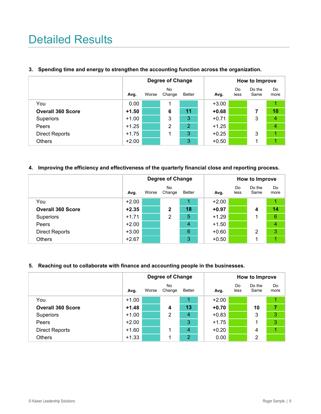# Detailed Results

|                          |         |       | <b>Degree of Change</b> |        |         | How to Improve |                |            |  |
|--------------------------|---------|-------|-------------------------|--------|---------|----------------|----------------|------------|--|
|                          | Avg.    | Worse | No<br>Change            | Better | Avg.    | Do<br>less     | Do the<br>Same | Do<br>more |  |
| You                      | 0.00    |       | 1                       |        | $+3.00$ |                |                |            |  |
| <b>Overall 360 Score</b> | $+1.50$ |       | 6                       | 11     | $+0.68$ |                | 7              | 10         |  |
| <b>Superiors</b>         | $+1.00$ |       | 3                       | 3      | $+0.71$ |                | 3              | 4          |  |
| Peers                    | $+1.25$ |       | 2                       | 2      | $+1.25$ |                |                | 4          |  |
| <b>Direct Reports</b>    | $+1.75$ |       |                         | 3      | $+0.25$ |                | 3              |            |  |
| <b>Others</b>            | $+2.00$ |       |                         | 3      | $+0.50$ |                | 1              |            |  |

#### **3. Spending time and energy to strengthen the accounting function across the organization.**

#### **4. Improving the efficiency and effectiveness of the quarterly financial close and reporting process.**

|                          |         |       | <b>Degree of Change</b> |               |         | How to Improve |                |                 |  |
|--------------------------|---------|-------|-------------------------|---------------|---------|----------------|----------------|-----------------|--|
|                          | Avg.    | Worse | <b>No</b><br>Change     | <b>Better</b> | Avg.    | Do<br>less     | Do the<br>Same | Do<br>more      |  |
| You                      | $+2.00$ |       |                         | 1             | $+2.00$ |                |                | 1               |  |
| <b>Overall 360 Score</b> | $+2.35$ |       | 2                       | 18            | $+0.97$ |                | 4              | 14              |  |
| <b>Superiors</b>         | $+1.71$ |       | 2                       | 5             | $+1.29$ |                | 1              | $6\phantom{1}6$ |  |
| Peers                    | $+2.00$ |       |                         | 4             | $+1.50$ |                |                | 4               |  |
| <b>Direct Reports</b>    | $+3.00$ |       |                         | 6             | $+0.60$ |                | 2              | 3               |  |
| <b>Others</b>            | $+2.67$ |       |                         | 3             | $+0.50$ |                | 1              |                 |  |

#### **5. Reaching out to collaborate with finance and accounting people in the businesses.**

|                          | <b>Degree of Change</b> |       |                     |                |  |         | How to Improve |                |                |  |
|--------------------------|-------------------------|-------|---------------------|----------------|--|---------|----------------|----------------|----------------|--|
|                          | Avg.                    | Worse | <b>No</b><br>Change | Better         |  | Avg.    | Do<br>less     | Do the<br>Same | Do<br>more     |  |
| You                      | $+1.00$                 |       |                     |                |  | $+2.00$ |                |                |                |  |
| <b>Overall 360 Score</b> | $+1.48$                 |       | 4                   | 13             |  | $+0.70$ |                | 10             | $\overline{7}$ |  |
| <b>Superiors</b>         | $+1.00$                 |       | 2                   | 4              |  | $+0.83$ |                | 3              | 3              |  |
| Peers                    | $+2.00$                 |       |                     | 3              |  | $+1.75$ |                | 1              | 3              |  |
| <b>Direct Reports</b>    | $+1.60$                 |       |                     | 4              |  | $+0.20$ |                | 4              |                |  |
| <b>Others</b>            | $+1.33$                 |       |                     | $\overline{2}$ |  | 0.00    |                | 2              |                |  |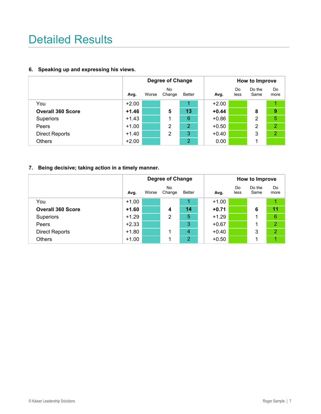# Detailed Results

#### **6. Speaking up and expressing his views.**

|                          |         |       | <b>Degree of Change</b> |                |         | How to Improve |                |                |  |
|--------------------------|---------|-------|-------------------------|----------------|---------|----------------|----------------|----------------|--|
|                          | Avg.    | Worse | <b>No</b><br>Change     | Better         | Avg.    | Do<br>less     | Do the<br>Same | Do<br>more     |  |
| You                      | $+2.00$ |       |                         |                | $+2.00$ |                |                |                |  |
| <b>Overall 360 Score</b> | $+1.46$ |       | 5                       | 13             | $+0.44$ |                | 8              | 9              |  |
| <b>Superiors</b>         | $+1.43$ |       |                         | 6              | $+0.86$ |                | 2              | 5              |  |
| Peers                    | $+1.00$ |       | 2                       | $\overline{2}$ | $+0.50$ |                | 2              | $\overline{2}$ |  |
| <b>Direct Reports</b>    | $+1.40$ |       | 2                       | 3              | $+0.40$ |                | 3              | $\overline{2}$ |  |
| <b>Others</b>            | $+2.00$ |       |                         | 2              | 0.00    |                | 1              |                |  |

### **7. Being decisive; taking action in a timely manner.**

|                          | <b>Degree of Change</b> |       |              |                |  |         | How to Improve |                |                |  |
|--------------------------|-------------------------|-------|--------------|----------------|--|---------|----------------|----------------|----------------|--|
|                          | Avg.                    | Worse | No<br>Change | <b>Better</b>  |  | Avg.    | Do<br>less     | Do the<br>Same | Do<br>more     |  |
| You                      | $+1.00$                 |       |              |                |  | $+1.00$ |                |                |                |  |
| <b>Overall 360 Score</b> | $+1.60$                 |       | 4            | 14             |  | $+0.71$ |                | 6              | 11             |  |
| <b>Superiors</b>         | $+1.29$                 |       | 2            | 5              |  | $+1.29$ |                | 1              | $\sqrt{6}$     |  |
| Peers                    | $+2.33$                 |       |              | 3              |  | $+0.67$ |                | 1              | $\overline{2}$ |  |
| <b>Direct Reports</b>    | $+1.80$                 |       |              | $\overline{4}$ |  | $+0.40$ |                | 3              | $\overline{2}$ |  |
| <b>Others</b>            | $+1.00$                 |       |              | $\overline{2}$ |  | $+0.50$ |                | 1              |                |  |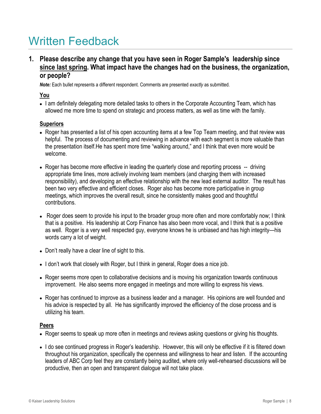**1. Please describe any change that you have seen in Roger Sample's leadership since since last spring. What impact have the changes had on the business, the organization, or people?**

*Note:* Each bullet represents a different respondent. Comments are presented *exactly* as submitted.

### **You**

• I am definitely delegating more detailed tasks to others in the Corporate Accounting Team, which has allowed me more time to spend on strategic and process matters, as well as time with the family.

### **Superiors**

- Roger has presented a list of his open accounting items at a few Top Team meeting, and that review was helpful. The process of documenting and reviewing in advance with each segment is more valuable than the presentation itself.He has spent more time "walking around," and I think that even more would be welcome.
- Roger has become more effective in leading the quarterly close and reporting process -- driving appropriate time lines, more actively involving team members (and charging them with increased responsibility), and developing an effective relationship with the new lead external auditor. The result has been two very effective and efficient closes. Roger also has become more participative in group meetings, which improves the overall result, since he consistently makes good and thoughtful contributions.
- Roger does seem to provide his input to the broader group more often and more comfortably now; I think that is a positive. His leadership at Corp Finance has also been more vocal, and I think that is a positive as well. Roger is a very well respected guy, everyone knows he is unbiased and has high integrity—his words carry a lot of weight.
- Don't really have a clear line of sight to this.
- I don't work that closely with Roger, but I think in general, Roger does a nice job.
- Roger seems more open to collaborative decisions and is moving his organization towards continuous improvement. He also seems more engaged in meetings and more willing to express his views.
- Roger has continued to improve as a business leader and a manager. His opinions are well founded and his advice is respected by all. He has significantly improved the efficiency of the close process and is utilizing his team.

### **Peers**

- Roger seems to speak up more often in meetings and reviews asking questions or giving his thoughts.
- I do see continued progress in Roger's leadership. However, this will only be effective if it is filtered down throughout his organization, specifically the openness and willingness to hear and listen. If the accounting leaders of ABC Corp feel they are constantly being audited, where only well-rehearsed discussions will be productive, then an open and transparent dialogue will not take place.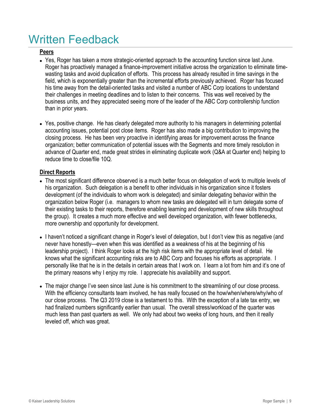### **Peers**

- Yes, Roger has taken a more strategic-oriented approach to the accounting function since last June. Roger has proactively managed a finance-improvement initiative across the organization to eliminate timewasting tasks and avoid duplication of efforts. This process has already resulted in time savings in the field, which is exponentially greater than the incremental efforts previously achieved. Roger has focused his time away from the detail-oriented tasks and visited a number of ABC Corp locations to understand their challenges in meeting deadlines and to listen to their concerns. This was well received by the business units, and they appreciated seeing more of the leader of the ABC Corp controllership function than in prior years.
- Yes, positive change. He has clearly delegated more authority to his managers in determining potential accounting issues, potential post close items. Roger has also made a big contribution to improving the closing process. He has been very proactive in identifying areas for improvement across the finance organization; better communication of potential issues with the Segments and more timely resolution in advance of Quarter end, made great strides in eliminating duplicate work (Q&A at Quarter end) helping to reduce time to close/file 10Q.

### **Direct Reports**

- The most significant difference observed is a much better focus on delegation of work to multiple levels of his organization. Such delegation is a benefit to other individuals in his organization since it fosters development (of the individuals to whom work is delegated) and similar delegating behavior within the organization below Roger (i.e. managers to whom new tasks are delegated will in turn delegate some of their existing tasks to their reports, therefore enabling learning and development of new skills throughout the group). It creates a much more effective and well developed organization, with fewer bottlenecks, more ownership and opportunity for development.
- I haven't noticed a significant change in Roger's level of delegation, but I don't view this as negative (and never have honestly—even when this was identified as a weakness of his at the beginning of his leadership project). I think Roger looks at the high risk items with the appropriate level of detail. He knows what the significant accounting risks are to ABC Corp and focuses his efforts as appropriate. I personally like that he is in the details in certain areas that I work on. I learn a lot from him and it's one of the primary reasons why I enjoy my role. I appreciate his availability and support.
- The major change I've seen since last June is his commitment to the streamlining of our close process. With the efficiency consultants team involved, he has really focused on the how/when/where/why/who of our close process. The Q3 2019 close is a testament to this. With the exception of a late tax entry, we had finalized numbers significantly earlier than usual. The overall stress/workload of the quarter was much less than past quarters as well. We only had about two weeks of long hours, and then it really leveled off, which was great.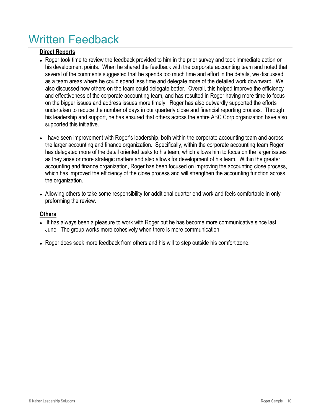### **Direct Reports**

- Roger took time to review the feedback provided to him in the prior survey and took immediate action on his development points. When he shared the feedback with the corporate accounting team and noted that several of the comments suggested that he spends too much time and effort in the details, we discussed as a team areas where he could spend less time and delegate more of the detailed work downward. We also discussed how others on the team could delegate better. Overall, this helped improve the efficiency and effectiveness of the corporate accounting team, and has resulted in Roger having more time to focus on the bigger issues and address issues more timely. Roger has also outwardly supported the efforts undertaken to reduce the number of days in our quarterly close and financial reporting process. Through his leadership and support, he has ensured that others across the entire ABC Corp organization have also supported this initiative.
- I have seen improvement with Roger's leadership, both within the corporate accounting team and across the larger accounting and finance organization. Specifically, within the corporate accounting team Roger has delegated more of the detail oriented tasks to his team, which allows him to focus on the larger issues as they arise or more strategic matters and also allows for development of his team. Within the greater accounting and finance organization, Roger has been focused on improving the accounting close process, which has improved the efficiency of the close process and will strengthen the accounting function across the organization.
- Allowing others to take some responsibility for additional quarter end work and feels comfortable in only preforming the review.

### **Others**

- It has always been a pleasure to work with Roger but he has become more communicative since last June. The group works more cohesively when there is more communication.
- Roger does seek more feedback from others and his will to step outside his comfort zone.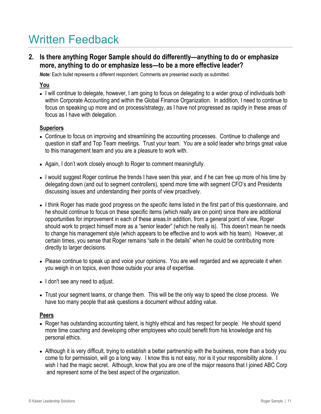**2. Is there anything Roger Sample should do differently—anything to do or emphasize more, anything to do or emphasize less—to be a more effective leader?**

*Note:* Each bullet represents a different respondent. Comments are presented *exactly* as submitted.

#### **You**

 I will continue to delegate, however, I am going to focus on delegating to a wider group of individuals both within Corporate Accounting and within the Global Finance Organization. In addition, I need to continue to focus on speaking up more and on process/strategy, as I have not progressed as rapidly in these areas of focus as I have with delegation.

#### **Superiors**

- Continue to focus on improving and streamlining the accounting processes. Continue to challenge and question in staff and Top Team meetings. Trust your team. You are a solid leader who brings great value to this management team and you are a pleasure to work with.
- Again, I don't work closely enough to Roger to comment meaningfully.
- I would suggest Roger continue the trends I have seen this year, and if he can free up more of his time by delegating down (and out to segment controllers), spend more time with segment CFO's and Presidents discussing issues and understanding their points of view proactively.
- I think Roger has made good progress on the specific items listed in the first part of this questionnaire, and he should continue to focus on these specific items (which really are on point) since there are additional opportunities for improvement in each of these areas.In addition, from a general point of view, Roger should work to project himself more as a "senior leader" (which he really is). This doesn't mean he needs to change his management style (which appears to be effective and to work with his team). However, at certain times, you sense that Roger remains "safe in the details" when he could be contributing more directly to larger decisions.
- Please continue to speak up and voice your opinions. You are well regarded and we appreciate it when you weigh in on topics, even those outside your area of expertise.
- I don't see any need to adjust.
- Trust your segment teams, or change them. This will be the only way to speed the close process. We have too many people that ask questions a document without adding value.

#### **Peers**

- Roger has outstanding accounting talent, is highly ethical and has respect for people. He should spend more time coaching and developing other employees who could benefit from his knowledge and his personal ethics.
- Although it is very difficult, trying to establish a better partnership with the business, more than a body you come to for permission, will go a long way. I know this is not easy, nor is it your responsibility alone. I wish I had the magic secret. Although, know that you are one of the major reasons that I joined ABC Corp and represent some of the best aspect of the organization.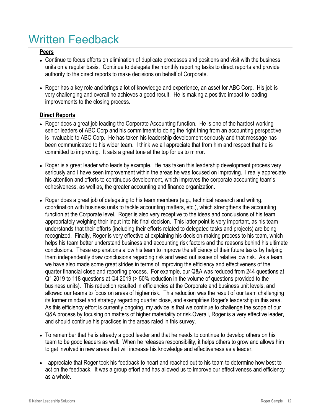### **Peers**

- Continue to focus efforts on elimination of duplicate processes and positions and visit with the business units on a regular basis. Continue to delegate the monthly reporting tasks to direct reports and provide authority to the direct reports to make decisions on behalf of Corporate.
- Roger has a key role and brings a lot of knowledge and experience, an asset for ABC Corp. His job is very challenging and overall he achieves a good result. He is making a positive impact to leading improvements to the closing process.

### **Direct Reports**

- Roger does a great job leading the Corporate Accounting function. He is one of the hardest working senior leaders of ABC Corp and his commitment to doing the right thing from an accounting perspective is invaluable to ABC Corp. He has taken his leadership development seriously and that message has been communicated to his wider team. I think we all appreciate that from him and respect that he is committed to improving. It sets a great tone at the top for us to mirror.
- Roger is a great leader who leads by example. He has taken this leadership development process very seriously and I have seen improvement within the areas he was focused on improving. I really appreciate his attention and efforts to continuous development, which improves the corporate accounting team's cohesiveness, as well as, the greater accounting and finance organization.
- Roger does a great job of delegating to his team members (e.g., technical research and writing, coordination with business units to tackle accounting matters, etc.), which strengthens the accounting function at the Corporate level. Roger is also very receptive to the ideas and conclusions of his team, appropriately weighing their input into his final decision. This latter point is very important, as his team understands that their efforts (including their efforts related to delegated tasks and projects) are being recognized. Finally, Roger is very effective at explaining his decision-making process to his team, which helps his team better understand business and accounting risk factors and the reasons behind his ultimate conclusions. These explanations allow his team to improve the efficiency of their future tasks by helping them independently draw conclusions regarding risk and weed out issues of relative low risk. As a team, Q&A process by focusing on matters of higher materiality or risk. Overall, Roger is a very effective leader, and should continue his practices in the areas rated in this survey. we have also made some great strides in terms of improving the efficiency and effectiveness of the quarter financial close and reporting process. For example, our Q&A was reduced from 244 questions at Q1 2019 to 118 questions at Q4 2019 (> 50% reduction in the volume of questions provided to the business units). This reduction resulted in efficiencies at the Corporate and business unit levels, and allowed our teams to focus on areas of higher risk. This reduction was the result of our team challenging its former mindset and strategy regarding quarter close, and exemplifies Roger's leadership in this area. As this efficiency effort is currently ongoing, my advice is that we continue to challenge the scope of our
- To remember that he is already a good leader and that he needs to continue to develop others on his team to be good leaders as well. When he releases responsibility, it helps others to grow and allows him to get involved in new areas that will increase his knowledge and effectiveness as a leader.
- I appreciate that Roger took his feedback to heart and reached out to his team to determine how best to act on the feedback. It was a group effort and has allowed us to improve our effectiveness and efficiency as a whole.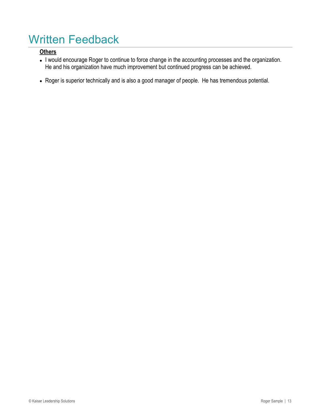## **Others**

- I would encourage Roger to continue to force change in the accounting processes and the organization. He and his organization have much improvement but continued progress can be achieved.
- Roger is superior technically and is also a good manager of people. He has tremendous potential.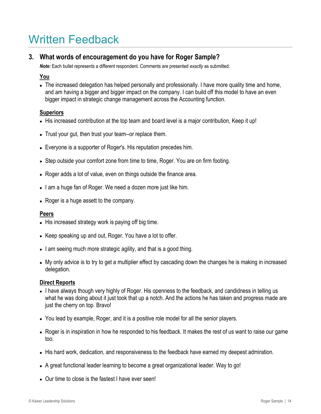# **3. What words of encouragement do you have for Roger Sample?**

*Note:* Each bullet represents a different respondent. Comments are presented *exactly* as submitted.

### **You**

• The increased delegation has helped personally and professionally. I have more quality time and home, and am having a bigger and bigger impact on the company. I can build off this model to have an even bigger impact in strategic change management across the Accounting function.

### **Superiors**

- His increased contribution at the top team and board level is a major contribution, Keep it up!
- Trust your gut, then trust your team--or replace them.
- Everyone is a supporter of Roger's. His reputation precedes him.
- Step outside your comfort zone from time to time, Roger. You are on firm footing.
- Roger adds a lot of value, even on things outside the finance area.
- I am a huge fan of Roger. We need a dozen more just like him.
- Roger is a huge assett to the company.

#### **Peers**

- His increased strategy work is paying off big time.
- Keep speaking up and out, Roger. You have a lot to offer.
- I am seeing much more strategic agility, and that is a good thing.
- My only advice is to try to get a multiplier effect by cascading down the changes he is making in increased delegation.

#### **Direct Reports**

- I have always though very highly of Roger. His openness to the feedback, and candidness in telling us what he was doing about it just took that up a notch. And the actions he has taken and progress made are just the cherry on top. Bravo!
- You lead by example, Roger, and it is a positive role model for all the senior players.
- Roger is in inspiration in how he responded to his feedback. It makes the rest of us want to raise our game too.
- His hard work, dedication, and responsiveness to the feedback have earned my deepest admiration.
- A great functional leader learning to become a great organizational leader. Way to go!
- Our time to close is the fastest I have ever seen!